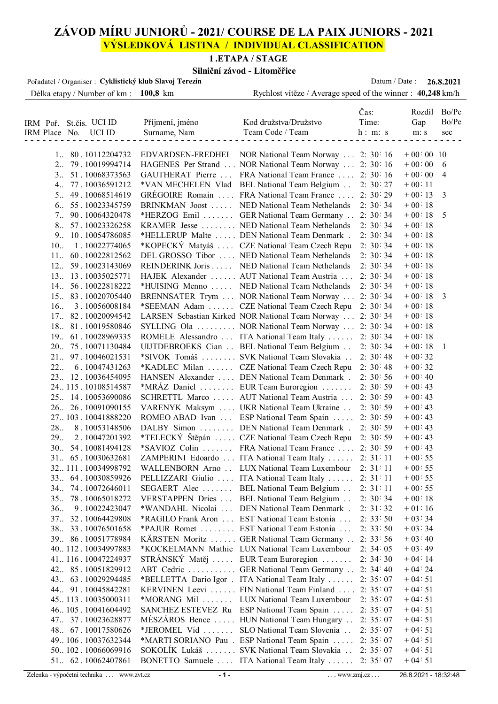## **ZÁVOD MÍRU JUNIORŮ - 2021/ COURSE DE LA PAIX JUNIORS - 2021 VÝSLEDKOVÁ LISTINA / INDIVIDUAL CLASSIFICATION**

#### **1 .ETAPA / STAGE**

#### **Silniční závod - Litoměřice**

| Pořadatel / Organiser : Cyklistický klub Slavoj Terezín |                    |                                                             | Datum / Date: |             | 26.8.2021    |
|---------------------------------------------------------|--------------------|-------------------------------------------------------------|---------------|-------------|--------------|
| Délka etapy / Number of km : 100,8 km                   |                    | Rychlost vítěze / Average speed of the winner : 40,248 km/h |               |             |              |
|                                                         |                    |                                                             |               |             |              |
|                                                         |                    |                                                             | Čas:          | Rozdíl      | Bo/Pe        |
| IRM Poř. St.čís. UCI ID                                 | Příjmení, jméno    | Kod družstva/Družstvo                                       | Time:         | Gap         | Bo/Pe        |
| IRM Place No. UCI ID                                    | Surname, Nam       | Team Code / Team                                            | h: m: s       | m: s        | sec          |
|                                                         |                    |                                                             |               |             |              |
| 1 80.10112204732                                        | EDVARDSEN-FREDHEI  | NOR National Team Norway  2: 30:16                          |               | $+00:00$ 10 |              |
| 79.10019994714<br>2                                     | HAGENES Per Strand | NOR National Team Norway  2: 30:16                          |               | $+00:00$    | 6            |
| 51.10068373563<br>3                                     | GAUTHERAT Pierre   | FRA National Team France  2: 30:16                          |               | $+00:00$    | 4            |
| 77.10036591212<br>$4_{\cdot}$                           | *VAN MECHELEN Vlad | BEL National Team Belgium                                   | 2:30:27       | $+00:11$    |              |
| $5_{\cdots}$<br>49.10068514619                          | GRÉGOIRE Romain    | FRA National Team France                                    | 2:30:29       | $+00:13$    | 3            |
| 6 55.10023345759                                        | BRINKMAN Joost     | NED National Team Nethelands                                | 2:30:34       | $+00:18$    |              |
| 90.10064320478<br>7                                     | $*$ HERZOG Emil    | GER National Team Germany 2: 30: 34                         |               | $+00:18$    | 5            |
| 8 57.10023326258                                        | KRAMER Jesse       | NED National Team Nethelands                                | 2:30:34       | $+00:18$    |              |
| 9 10.10054786085                                        | *HELLERUP Malte    | DEN National Team Denmark.                                  | 2:30:34       | $+00:18$    |              |
| 1.10022774065<br>10.                                    | *KOPECKÝ Matyáš    | CZE National Team Czech Repu                                | 2:30:34       | $+00:18$    |              |
| 11. 60.10022812562                                      |                    | DEL GROSSO Tibor  NED National Team Nethelands              | 2:30:34       | $+00:18$    |              |
| 12 59.10023143069                                       | REINDERINK Joris   | NED National Team Nethelands                                | 2:30:34       | $+00:18$    |              |
| 13. 13. 10035025771                                     |                    | HAJEK Alexander  AUT National Team Austria                  | 2:30:34       | $+00:18$    |              |
| 14. 56. 10022818222                                     | *HUISING Menno     | NED National Team Nethelands                                | 2:30:34       | $+00:18$    |              |
| 15 83.10020705440                                       |                    | BRENNSATER Trym  NOR National Team Norway                   | 2:30:34       | $+00:18$    | 3            |
| 16.<br>3.10056008184                                    | *SEEMAN Adam       | CZE National Team Czech Repu                                | 2:30:34       | $+00:18$    |              |
| 17 82.10020094542                                       |                    | LARSEN Sebastian Kirked NOR National Team Norway            | 2:30:34       | $+00:18$    |              |
| 18 81.10019580846                                       |                    | SYLLING Ola  NOR National Team Norway                       | 2:30:34       | $+00:18$    |              |
| 19. 61.10028969335                                      |                    | ROMELE Alessandro  ITA National Team Italy                  | 2:30:34       | $+00:18$    |              |
| 20. 75.10071130484                                      |                    | UIJTDEBROEKS Cian BEL National Team Belgium                 | 2:30:34       | $+00:18$    | $\mathbf{1}$ |
| 21. 97.10046021531                                      |                    | *SIVOK Tomáš  SVK National Team Slovakia                    | 2:30:48       | $+00:32$    |              |
| 22<br>6.10047431263                                     | *KADLEC Milan      | CZE National Team Czech Repu                                | 2:30:48       | $+00:32$    |              |
| 23. 12.10036454095                                      |                    | HANSEN Alexander  DEN National Team Denmark.                | 2:30:56       | $+00:40$    |              |
| 24115.10108514587                                       |                    | *MRÁZ Daniel  EUR Team Euroregion                           | 2:30:59       | $+00:43$    |              |
| 25. 14.10053690086                                      |                    | SCHRETTL Marco  AUT National Team Austria                   | 2:30:59       | $+00:43$    |              |
| 26. 26. 10091090155                                     |                    | VARENYK Maksym  UKR National Team Ukraine                   | 2:30:59       | $+00.43$    |              |
| 27103.10041888220                                       |                    | ROMEO ABAD Ivan  ESP National Team Spain                    | 2:30:59       | $+00.43$    |              |
| 28<br>8.10053148506                                     |                    | DALBY Simon  DEN National Team Denmark.                     | 2:30:59       | $+00:43$    |              |
| 29.<br>2.10047201392                                    |                    | *TELECKÝ Štěpán  CZE National Team Czech Repu               | 2:30:59       | $+00:43$    |              |
| 30 54.10081494128                                       |                    | *SAVIOZ Colin  FRA National Team France                     | 2:30:59       | $+00:43$    |              |
| 31 65.10030632681                                       |                    | ZAMPERINI Edoardo  ITA National Team Italy                  | 2: 31: 11     | $+00:55$    |              |
| 32111.10034998792                                       |                    | WALLENBORN Arno  LUX National Team Luxembour                | 2: 31: 11     | $+00:55$    |              |
| 33. 64.10030859926                                      |                    | PELLIZZARI Giulio  ITA National Team Italy                  | 2: 31: 11     | $+00:55$    |              |
| 34 74.10072646011                                       | SEGAERT Alec       | BEL National Team Belgium                                   | 2: 31:11      | $+00:55$    |              |
| 35 78.10065018272                                       | VERSTAPPEN Dries   | BEL National Team Belgium                                   | 2:30:34       | $+00:18$    |              |
| 36.<br>9.10022423047                                    | *WANDAHL Nicolai   | DEN National Team Denmark.                                  | 2: 31: 32     | $+01:16$    |              |
| 37 32.10064429808                                       |                    | *RAGILO Frank Aron  EST National Team Estonia               | 2: 33: 50     | $+03:34$    |              |
| 38. 33.10076501658                                      |                    | *PAJUR Romet  EST National Team Estonia                     | 2: 33: 50     | $+03.34$    |              |
| 39. 86.10051778984                                      | KÄRSTEN Moritz     | GER National Team Germany                                   | 2: 33: 56     | $+03:40$    |              |
| 40112.10034997883                                       |                    | *KOCKELMANN Mathie LUX National Team Luxembour              | 2:34:05       | $+03:49$    |              |
| 41116.10047224937                                       |                    | STRÁNSKÝ Matěj  EUR Team Euroregion                         | 2: 34: 30     | $+04:14$    |              |
| 42 85.10051829912                                       |                    | ABT Cedric  GER National Team Germany                       | 2: 34: 40     | $+04:24$    |              |
| 43. 63. 10029294485                                     |                    | *BELLETTA Dario Igor . ITA National Team Italy              | 2:35:07       | $+04:51$    |              |
| 44 91.10045842281                                       |                    | KERVINEN Leevi  FIN National Team Finland                   | 2:35:07       | $+04:51$    |              |
| 45113.10035000311                                       |                    | *MORANG Mil  LUX National Team Luxembour                    | 2:35:07       | $+04:51$    |              |
| 46105.10041604492                                       |                    | SANCHEZ ESTEVEZ Ru ESP National Team Spain                  | 2:35:07       | $+04:51$    |              |
| 47 37.10023628877                                       |                    | MÉSZÁROS Bence  HUN National Team Hungary                   | 2:35:07       | $+04:51$    |              |
| 48. 67.10017580626                                      | *JEROMEL Vid       | SLO National Team Slovenia                                  | 2:35:07       | $+04:51$    |              |
| 49. 106. 10037632344                                    |                    | *MARTI SORIANO Pau . ESP National Team Spain                | 2:35:07       | $+04:51$    |              |
| 50102.10066069916                                       |                    | SOKOLÍK Lukáš  SVK National Team Slovakia                   | 2:35:07       | $+04:51$    |              |
| 51. 62.10062407861                                      |                    | BONETTO Samuele  ITA National Team Italy                    | 2:35:07       | $+04:51$    |              |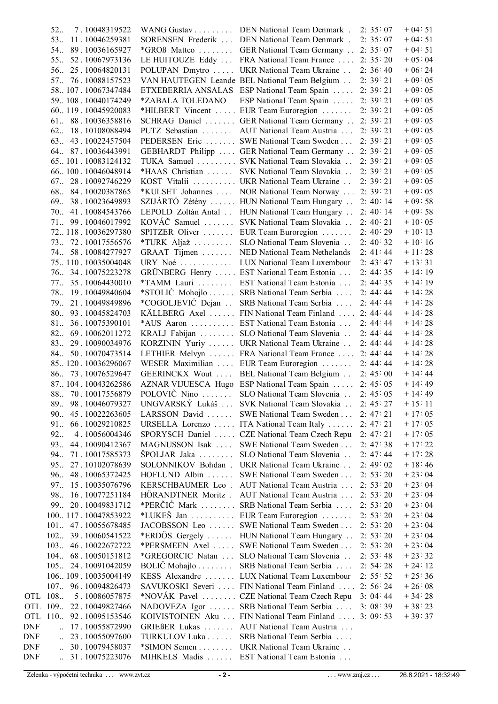|            | 52<br>7.10048319522                    |                          | WANG Gustav DEN National Team Denmark . 2: 35: 07     |           | $+04:51$  |
|------------|----------------------------------------|--------------------------|-------------------------------------------------------|-----------|-----------|
|            | 53 11.10046259381                      |                          | SORENSEN Frederik  DEN National Team Denmark.         | 2:35:07   | $+04:51$  |
|            | 54 89.10036165927                      |                          | *GROß Matteo  GER National Team Germany  2: 35:07     |           | $+04:51$  |
|            | 55 52.10067973136                      |                          | LE HUITOUZE Eddy  FRA National Team France  2: 35:20  |           | $+05:04$  |
|            | 56. 25.10064820131                     |                          | POLUPAN Dmytro  UKR National Team Ukraine             | 2:36:40   | $+06:24$  |
|            | 57 76.10088157523                      |                          | VAN HAUTEGEN Leande BEL National Team Belgium         | 2: 39: 21 | $+09:05$  |
|            | 58107.10067347484                      |                          | ETXEBERRIA ANSALAS ESP National Team Spain  2: 39:21  |           | $+09:05$  |
|            | 59108.10040174249                      | *ZABALA TOLEDANO         | ESP National Team Spain  2: 39:21                     |           | $+09:05$  |
|            | 60119.10045920083                      |                          | *HILBERT Vincent  EUR Team Euroregion                 | 2: 39: 21 | $+09:05$  |
|            | 61 88.10036358816                      |                          | SCHRAG Daniel  GER National Team Germany  2: 39: 21   |           | $+09:05$  |
|            | 62 18.10108088494                      |                          | PUTZ Sebastian  AUT National Team Austria             | 2:39:21   | $+09:05$  |
|            | 63 43.10022457504                      |                          | PEDERSEN Eric  SWE National Team Sweden  2: 39:21     |           | $+09:05$  |
|            | 64 87.10036443991                      |                          | GEBHARDT Philipp  GER National Team Germany  2: 39:21 |           | $+09:05$  |
|            | 65101.10083124132                      |                          | TUKA Samuel SVK National Team Slovakia                | 2:39:21   | $+09:05$  |
|            | 66100.10046048914                      |                          | *HAAS Christian  SVK National Team Slovakia           | 2:39:21   | $+09:05$  |
|            | 67 28.10092746229                      |                          | KOST Vitalii  UKR National Team Ukraine               | 2: 39: 21 | $+09:05$  |
|            | 68 84.10020387865                      |                          | *KULSET Johannes  NOR National Team Norway  2: 39:21  |           | $+09:05$  |
|            | 69. 38.10023649893                     |                          | SZIJÁRTÓ Zétény  HUN National Team Hungary  2: 40:14  |           | $+09:58$  |
|            | 70. 41.10084543766                     |                          | LEPOLD Zoltán Antal . HUN National Team Hungary       | 2:40:14   | $+09:58$  |
|            | 71 99.10046017992                      |                          | KOVÁČ Samuel  SVK National Team Slovakia              | 2:40:21   | $+10:05$  |
|            | 72118.10036297380                      |                          | SPITZER Oliver  EUR Team Euroregion                   | 2:40:29   | $+10:13$  |
|            | 73. 72.10017556576                     |                          | *TURK Aljaž  SLO National Team Slovenia               | 2:40:32   | $+10:16$  |
|            | 74 58.10084277927                      |                          | GRAAT Tijmen  NED National Team Nethelands            | 2: 41: 44 | $+11:28$  |
|            | 75110.10035004048                      |                          | URY Noé  LUX National Team Luxembour                  | 2: 43: 47 | $+13:31$  |
|            | 76 34.10075223278                      |                          | GRÜNBERG Henry  EST National Team Estonia             | 2:44:35   | $+14:19$  |
|            | 77. 35.10064430010                     |                          | *TAMM Lauri  EST National Team Estonia                | 2:44:35   | $+14:19$  |
|            | 78. 19.10049840604                     |                          | *STOLIĆ Mohojlo  SRB National Team Serbia             | 2:44:44   | $+14:28$  |
|            | 79. 21.10049849896                     |                          | *COGOLJEVIĆ Dejan  SRB National Team Serbia           | 2:44:44   | $+14:28$  |
|            | 80 93.10045824703                      |                          | KÄLLBERG Axel  FIN National Team Finland  2: 44: 44   |           | $+14:28$  |
|            | 81 36.10075390101                      |                          | *AUS Aaron  EST National Team Estonia                 | 2:44:44   | $+14:28$  |
|            | 82 69.10062011272                      |                          | KRALJ Fabijan  SLO National Team Slovenia             | 2:44:44   | $+14.28$  |
|            | 83 29.10090034976                      |                          | KORZININ Yuriy  UKR National Team Ukraine             | 2:44:44   | $+14:28$  |
|            | 84. 50.10070473514                     |                          | LETHIER Melvyn  FRA National Team France  2: 44: 44   |           | $+14:28$  |
|            | 85120.10036296067                      |                          | WESER Maximilian  EUR Team Euroregion  2: 44: 44      |           | $+14:28$  |
|            | 86 73.10076529647                      |                          | GEERINCKX Wout  BEL National Team Belgium  2: 45:00   |           | $+ 14:44$ |
|            | 87104.10043262586                      |                          | AZNAR VIJUESCA Hugo ESP National Team Spain  2: 45:05 |           | $+14:49$  |
|            | 88 70.10017556879                      |                          | POLOVIČ Nino  SLO National Team Slovenia  2: 45:05    |           | $+14:49$  |
|            | 89 98.10046079327                      |                          | UNGVARSKÝ Lukáš  SVK National Team Slovakia           | 2:45:27   | $+15:11$  |
|            | 45.10022263605<br>90                   | $LARSSON$ David $\ldots$ | SWE National Team Sweden                              | 2:47:21   | $+17:05$  |
|            | 91<br>66.10029210825                   |                          | URSELLA Lorenzo  ITA National Team Italy              | 2:47:21   | $+17:05$  |
|            | 92<br>4.10056004346                    |                          | SPORYSCH Daniel  CZE National Team Czech Repu         | 2: 47: 21 | $+17:05$  |
|            | 93.<br>44.10090412367                  | MAGNUSSON Isak           | SWE National Team Sweden                              | 2:47:38   | $+17:22$  |
|            | 94<br>71.10017585373                   | $\text{SPOLJAR}$ Jaka    | SLO National Team Slovenia                            | 2: 47: 44 | $+17:28$  |
|            | 95<br>27.10102078639                   |                          | SOLONNIKOV Bohdan . UKR National Team Ukraine         | 2:49:02   | $+18:46$  |
|            | 96 48.10065372425                      |                          | HOFLUND Albin  SWE National Team Sweden               | 2: 53: 20 | $+23:04$  |
|            | 97 15.10035076796                      |                          | KERSCHBAUMER Leo. AUT National Team Austria           | 2: 53: 20 | $+23:04$  |
|            | 98. 16. 10077251184                    |                          | HÖRANDTNER Moritz . AUT National Team Austria         | 2: 53: 20 | $+23:04$  |
|            | 99<br>20.10049831712                   |                          | *PERČIĆ Mark  SRB National Team Serbia                | 2: 53: 20 | $+23:04$  |
|            | 100117.10047853922                     |                          | *LUKEŠ Jan  EUR Team Euroregion                       | 2: 53: 20 | $+23:04$  |
|            | 101. 47.10055678485                    |                          | JACOBSSON Leo  SWE National Team Sweden               | 2: 53: 20 | $+23:04$  |
|            | 102. 39.10060541522                    |                          | *ERDÖS Gergely  HUN National Team Hungary             | 2: 53: 20 | $+23:04$  |
|            | 103. 46. 10022672722                   |                          | *PERSMEEN Axel  SWE National Team Sweden              | 2: 53: 20 | $+23:04$  |
|            | 104 68.10050151812                     |                          | *GREGORCIC Natan  SLO National Team Slovenia          | 2: 53:48  | $+23:32$  |
|            | 105. 24.10091042059                    | $BOLIČ Mohajlo$          | SRB National Team Serbia                              | 2:54:28   | $+24.12$  |
|            | 106109.10035004149                     |                          | KESS Alexandre  LUX National Team Luxembour           | 2: 55: 52 | $+25:36$  |
|            | 107 96.10094826473                     |                          | SAVUKOSKI Severi  FIN National Team Finland           | 2: 56: 24 | $+26:08$  |
|            | OTL 108<br>5.10086057875               |                          | *NOVÁK Pavel  CZE National Team Czech Repu            | 3:04:44   | $+34.28$  |
| <b>OTL</b> | 109. 22.10049827466                    |                          | NADOVEZA Igor  SRB National Team Serbia               | 3:08:39   | $+38:23$  |
| OTL        | 110. 92.10095153546                    |                          | KOIVISTOINEN Aku  FIN National Team Finland           | 3:09:53   | $+39:37$  |
| <b>DNF</b> | $\ldots$ 17.10055872990                |                          | GRIEßER Lukas  AUT National Team Austria              |           |           |
| DNF        | $\ldots$ 23.10055097600                |                          | TURKULOV Luka SRB National Team Serbia                |           |           |
| DNF        | 30.10079458037<br>$\ddot{\phantom{a}}$ |                          | *SIMON Semen UKR National Team Ukraine                |           |           |
| <b>DNF</b> | $\ldots$ 31.10075223076                |                          | MIHKELS Madis  EST National Team Estonia              |           |           |
|            |                                        |                          |                                                       |           |           |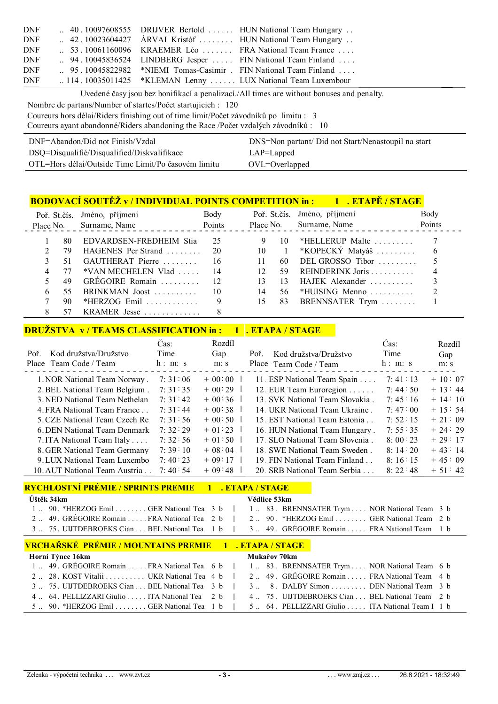| DNF        |  | $\therefore$ 40.10097608555 DRIJVER Bertold  HUN National Team Hungary        |
|------------|--|-------------------------------------------------------------------------------|
| <b>DNF</b> |  | 42.10023604427 ÁRVAI Kristóf  HUN National Team Hungary                       |
| DNF        |  | 53.10061160096 KRAEMER Léo FRA National Team France                           |
| DNF        |  | $\therefore$ 94.10045836524 LINDBERG Jesper  FIN National Team Finland        |
| DNF        |  | 95.10045822982 *NIEMI Tomas-Casimir. FIN National Team Finland                |
| DNF        |  | $\ldots$ 114.10035011425 *KLEMAN Lenny $\ldots$ . LUX National Team Luxembour |

Uvedené časy jsou bez bonifikací a penalizací./All times are without bonuses and penalty.

Nombre de partans/Number of startes/Počet startujících : 120

Coureurs hors délai/Riders finishing out of time limit/Počet závodníků po limitu : 3

Coureurs ayant abandonné/Riders abandoning the Race /Počet vzdalých závodníků : 10

| DNF=Abandon/Did not Finish/Vzdal                    | DNS=Non partant/ Did not Start/Nenastoupil na start |
|-----------------------------------------------------|-----------------------------------------------------|
| DSQ=Disqualifié/Disqualified/Diskvalifikace         | $LAP = Lapped$                                      |
| OTL=Hors délai/Outside Time Limit/Po časovém limitu | $OVL = Overlapped$                                  |

#### **BODOVACÍ SOUTĚŽ v / INDIVIDUAL POINTS COMPETITION in : 1 . ETAPĚ / STAGE**

|      | Poř. St.čís. Jméno, příjmení<br>Place No. Surname, Name | Body<br>Points | Place No.               | Poř. St.čís. Jméno, příjmení<br>Surname, Name | Body<br>Points |
|------|---------------------------------------------------------|----------------|-------------------------|-----------------------------------------------|----------------|
| -80- | EDVARDSEN-FREDHEIM Stia                                 | 25             | $\Box$ 10               | *HELLERUP Malte $\ldots \ldots$               |                |
| 79   | HAGENES Per Strand                                      | -20            | 10<br>$\sim$ $1$        | *KOPECKÝ Matyáš $\ldots$                      | 6              |
| -51  | GAUTHERAT Pierre                                        | 16             | 11<br>60.               | DEL GROSSO Tibor $\ldots \ldots$              |                |
| 77   | $*VAN MECHELEN Vlad \dots$ 14                           |                | 12 <sup>°</sup><br>-59. |                                               |                |
| 49   | GREGOIRE Romain  12                                     |                | 13<br>13                | HAJEK Alexander                               |                |
| 55.  | BRINKMAN Joost                                          | 10             | 14<br>56.               | *HUISING Menno                                |                |
| 90.  | *HERZOG Emil                                            |                | 83<br>15                | BRENNSATER Trym                               |                |
|      | KRAMER Jesse                                            |                |                         |                                               |                |

### **DRUŽSTVA v / TEAMS CLASSIFICATION in : 1 . ETAPA / STAGE**

|                               | Cas:    | Rozdíl   |                                 | Cas:    | Rozdíl   |
|-------------------------------|---------|----------|---------------------------------|---------|----------|
| Kod družstva/Družstvo<br>Poř. | Time    | Gap      | Kod družstva/Družstvo<br>Poř.   | Time    | Gap      |
| Place Team Code / Team        | h: m: s | m: s     | Place Team Code / Team          | h: m: s | m: s     |
| 1. NOR National Team Norway.  | 7:31:06 | $+00:00$ | 11. ESP National Team Spain     | 7:41:13 | $+10:07$ |
| 2. BEL National Team Belgium. | 7:31:35 | $+00:29$ | 12. EUR Team Euroregion         | 7:44:50 | $+13:44$ |
| 3. NED National Team Nethelan | 7:31:42 | $+00:36$ | 13. SVK National Team Slovakia. | 7:45:16 | $+14:10$ |
| 4. FRA National Team France   | 7:31:44 | $+00.38$ | 14 UKR National Team Ukraine.   | 7:47:00 | $+15:54$ |
| 5. CZE National Team Czech Re | 7:31:56 | $+00.50$ | 15. EST National Team Estonia   | 7:52:15 | $+21:09$ |
| 6. DEN National Team Denmark  | 7:32:29 | $+01:23$ | 16. HUN National Team Hungary.  | 7:55:35 | $+24:29$ |
| 7. ITA National Team Italy    | 7:32:56 | $+01:50$ | 17. SLO National Team Slovenia. | 8:00:23 | $+29:17$ |
| 8. GER National Team Germany  | 7:39:10 | $+08:04$ | 18. SWE National Team Sweden.   | 8:14:20 | $+43:14$ |
| 9. LUX National Team Luxembo  | 7:40:23 | $+09:17$ | 19. FIN National Team Finland   | 8:16:15 | $+45:09$ |
| 10. AUT National Team Austria | 7:40:54 | $+09.48$ | 20. SRB National Team Serbia    | 8:22:48 | $+51:42$ |

#### **RYCHLOSTNÍ PRÉMIE / SPRINTS PREMIE 1 . ETAPA / STAGE**

| <u> KIUHUVSIIM I KEMIIE / SI KIMIS I KEMIIE         ETATA / STAUE</u> |                                                                                              |  |  |  |  |  |
|-----------------------------------------------------------------------|----------------------------------------------------------------------------------------------|--|--|--|--|--|
| Úštěk 34km                                                            | Vědlice 53km                                                                                 |  |  |  |  |  |
| 1  90. *HERZOG Emil  GER National Tea 3 b                             | 1 83. BRENNSATER Trym NOR National Team 3 b                                                  |  |  |  |  |  |
| 249. GREGOIRE Romain  FRA National Tea 2 b                            | 2 90. *HERZOG Emil GER National Team 2 b                                                     |  |  |  |  |  |
| 3 75. UIJTDEBROEKS Cian  BEL National Tea 1 b                         | 3 49. GRÉGOIRE Romain  FRA National Team 1 b                                                 |  |  |  |  |  |
| VRCHAŘSKÉ PRÉMIE / MOUNTAINS PREMIE 1 . ETAPA / STAGE                 |                                                                                              |  |  |  |  |  |
| Horní Týnec 16km                                                      | Mukařov 70km                                                                                 |  |  |  |  |  |
|                                                                       | 1. 49. GRÉGOIRE Romain  FRA National Tea 6 b   1. 83. BRENNSATER Trym  NOR National Team 6 b |  |  |  |  |  |
|                                                                       |                                                                                              |  |  |  |  |  |

| 2. 28. KOST Vitalii  UKR National Tea 4 b   2 49. GREGOIRE Romain  FRA National Team 4 b                                                                          |  |  |  |  |  |
|-------------------------------------------------------------------------------------------------------------------------------------------------------------------|--|--|--|--|--|
| 3. 75. UIJTDEBROEKS Cian  BEL National Tea 3 b   3 8. DALBY Simon  DEN National Team 3 b                                                                          |  |  |  |  |  |
| 4. 64. PELLIZZARI Giulio  ITA National Tea 2 b   4. 75. UIJTDEBROEKS Cian  BEL National Team 2 b                                                                  |  |  |  |  |  |
| 5 90. *HERZOG Emil  GER National Tea $\begin{bmatrix} 1 & b & l \end{bmatrix}$ 5 64. PELLIZZARI Giulio  ITA National Team I $\begin{bmatrix} 1 & b \end{bmatrix}$ |  |  |  |  |  |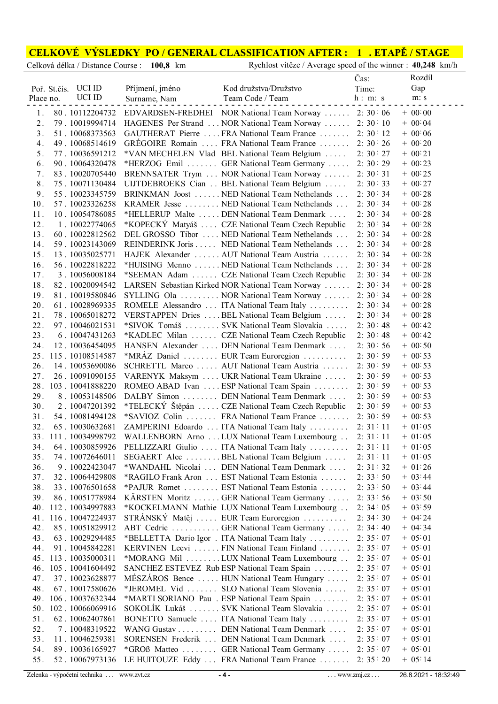# **CELKOVÉ VÝSLEDKY PO / GENERAL CLASSIFICATION AFTER : 1 . ETAPĚ / STAGE**<br>Celková délka / Distance Course : 100,8 km Rychlost vítěze / Average speed of the winner : 40,248 km/h

Rychlost vítěze / Average speed of the winner : **40,248** km/h

|           |              |                      |                 |                                                        | Čas:      | Rozdíl    |
|-----------|--------------|----------------------|-----------------|--------------------------------------------------------|-----------|-----------|
|           | Poř. St.čís. | UCI ID               | Příjmení, jméno | Kod družstva/Družstvo                                  | Time:     | Gap       |
| Place no. |              | <b>UCI ID</b>        | Surname, Nam    | Team Code / Team                                       | h: m: s   | m: s      |
| 1.        |              | 80.10112204732       |                 | EDVARDSEN-FREDHEI NOR National Team Norway  2:30:06    |           | $+ 00.00$ |
| 2.        |              | 79.10019994714       |                 | HAGENES Per Strand  NOR National Team Norway  2: 30:10 |           | $+ 00.04$ |
| 3.        |              | 51.10068373563       |                 | GAUTHERAT Pierre  FRA National Team France  2: 30:12   |           | $+ 00.06$ |
| 4.        |              |                      |                 |                                                        |           | $+ 00.20$ |
|           |              | 49.10068514619       |                 | GREGOIRE Romain  FRA National Team France  2: 30:26    |           |           |
| 5.        |              | 77.10036591212       |                 | *VAN MECHELEN Vlad BEL National Team Belgium           | 2:30:27   | $+ 00:21$ |
| 6.        |              | 90.10064320478       |                 | *HERZOG Emil  GER National Team Germany  2: 30:29      |           | $+ 00:23$ |
| 7.        |              | 83.10020705440       |                 | BRENNSATER Trym  NOR National Team Norway  2: 30:31    |           | $+ 00:25$ |
| 8.        |              | 75.10071130484       |                 | UIJTDEBROEKS Cian BEL National Team Belgium            | 2:30:33   | $+ 00:27$ |
| 9.        |              | 55.10023345759       |                 | BRINKMAN Joost  NED National Team Nethelands           | 2:30:34   | $+ 00:28$ |
| 10.       |              | 57.10023326258       |                 | KRAMER Jesse  NED National Team Nethelands             | 2:30:34   | $+ 00:28$ |
| 11.       |              | 10.10054786085       |                 | *HELLERUP Malte  DEN National Team Denmark             | 2:30:34   | $+ 00:28$ |
| 12.       |              | 1.10022774065        |                 | *KOPECKÝ Matyáš  CZE National Team Czech Republic      | 2:30:34   | $+ 00:28$ |
| 13.       |              | 60.10022812562       |                 | DEL GROSSO Tibor  NED National Team Nethelands         | 2:30:34   | $+ 00:28$ |
| 14.       |              | 59.10023143069       |                 | REINDERINK Joris NED National Team Nethelands          | 2:30:34   | $+ 00:28$ |
| 15.       |              | 13.10035025771       |                 | HAJEK Alexander  AUT National Team Austria             | 2:30:34   | $+ 00:28$ |
| 16.       |              | 56.10022818222       |                 | *HUISING Menno  NED National Team Nethelands           | 2:30:34   | $+ 00:28$ |
| 17.       |              | 3.10056008184        |                 | *SEEMAN Adam  CZE National Team Czech Republic         | 2:30:34   | $+ 00:28$ |
| 18.       |              | 82.10020094542       |                 | LARSEN Sebastian Kirked NOR National Team Norway       | 2:30:34   | $+ 00:28$ |
| 19.       |              | 81.10019580846       |                 | SYLLING Ola  NOR National Team Norway                  | 2:30:34   | $+ 00:28$ |
| 20.       |              | 61.10028969335       |                 | ROMELE Alessandro  ITA National Team Italy             | 2:30:34   | $+ 00:28$ |
| 21.       |              | 78.10065018272       |                 | VERSTAPPEN Dries  BEL National Team Belgium            | 2:30:34   | $+ 00:28$ |
| 22.       |              | 97.10046021531       |                 | *SIVOK Tomáš  SVK National Team Slovakia               | 2:30:48   | $+ 00.42$ |
| 23.       |              | 6.10047431263        |                 | *KADLEC Milan  CZE National Team Czech Republic        | 2:30.48   | $+ 00.42$ |
| 24.       |              | 12.10036454095       |                 | HANSEN Alexander  DEN National Team Denmark            | 2:30:56   | $+ 00:50$ |
| 25.       |              | 115.10108514587      |                 | *MRÁZ Daniel  EUR Team Euroregion                      | 2:30:59   | $+ 00:53$ |
|           |              |                      |                 | SCHRETTL Marco  AUT National Team Austria              |           | $+ 00.53$ |
| 26.       |              | 14.10053690086       |                 |                                                        | 2:30:59   |           |
| 27.       |              | 26.10091090155       |                 | VARENYK Maksym  UKR National Team Ukraine              | 2:30:59   | $+ 00:53$ |
| 28.       |              | 103.10041888220      |                 | ROMEO ABAD Ivan  ESP National Team Spain               | 2:30:59   | $+ 00.53$ |
| 29.       |              | 8.10053148506        |                 | DALBY Simon  DEN National Team Denmark                 | 2:30:59   | $+ 00.53$ |
| 30.       |              | 2.10047201392        |                 | *TELECKÝ Štěpán  CZE National Team Czech Republic      | 2:30:59   | $+ 00:53$ |
| 31.       |              | 54.10081494128       |                 | *SAVIOZ Colin  FRA National Team France                | 2:30:59   | $+ 00:53$ |
| 32.       |              | 65.10030632681       |                 | ZAMPERINI Edoardo  ITA National Team Italy             | 2: 31: 11 | $+ 01:05$ |
|           |              | 33. 111. 10034998792 |                 | WALLENBORN Arno  LUX National Team Luxembourg          | 2: 31: 11 | $+$ 01:05 |
| 34.       |              | 64.10030859926       |                 | PELLIZZARI Giulio  ITA National Team Italy  2: 31:11   |           | $+ 01:05$ |
| 35.       |              | 74.10072646011       |                 | SEGAERT Alec BEL National Team Belgium                 | 2: 31: 11 | $+$ 01:05 |
| 36.       |              | 9.10022423047        |                 | *WANDAHL Nicolai  DEN National Team Denmark            | 2: 31: 32 | $+ 01:26$ |
| 37.       |              | 32.10064429808       |                 | *RAGILO Frank Aron  EST National Team Estonia          | 2:33:50   | $+ 03.44$ |
| 38.       |              | 33.10076501658       |                 | *PAJUR Romet EST National Team Estonia                 | 2:33:50   | $+ 03.44$ |
| 39.       |              | 86.10051778984       |                 | KÄRSTEN Moritz  GER National Team Germany              | 2:33:56   | $+ 03:50$ |
|           |              | 40. 112. 10034997883 |                 | *KOCKELMANN Mathie LUX National Team Luxembourg        | 2:34:05   | $+ 03:59$ |
|           |              | 41. 116. 10047224937 |                 | STRÁNSKÝ Matěj  EUR Team Euroregion                    | 2:34:30   | $+$ 04 24 |
| 42.       |              | 85.10051829912       |                 | ABT Cedric  GER National Team Germany                  | 2:34:40   | $+ 04.34$ |
| 43.       |              | 63.10029294485       |                 | *BELLETTA Dario Igor . ITA National Team Italy         | 2:35:07   | $+ 05.01$ |
| 44.       |              | 91.10045842281       |                 | KERVINEN Leevi  FIN National Team Finland              | 2:35:07   | $+ 05:01$ |
|           |              | 45. 113. 10035000311 |                 | *MORANG Mil LUX National Team Luxembourg               | 2:35:07   | $+ 05.01$ |
|           |              | 46. 105. 10041604492 |                 | SANCHEZ ESTEVEZ Rub ESP National Team Spain            | 2:35:07   | $+ 05.01$ |
| 47.       |              | 37.10023628877       |                 | MÉSZÁROS Bence  HUN National Team Hungary              | 2:35:07   | $+ 05.01$ |
| 48.       |              | 67.10017580626       |                 | *JEROMEL Vid SLO National Team Slovenia                | 2:35:07   | $+ 05.01$ |
|           |              |                      |                 |                                                        |           |           |
|           |              | 49. 106. 10037632344 |                 | *MARTI SORIANO Pau . ESP National Team Spain           | 2:35:07   | $+ 05:01$ |
|           |              | 50. 102. 10066069916 |                 | SOKOLÍK Lukáš SVK National Team Slovakia               | 2:35:07   | $+ 05:01$ |
| 51.       |              | 62.10062407861       |                 | BONETTO Samuele  ITA National Team Italy               | 2:35:07   | $+ 05:01$ |
| 52.       |              | 7.10048319522        |                 | WANG Gustav DEN National Team Denmark                  | 2:35:07   | $+ 05:01$ |
| 53.       |              | 11.10046259381       |                 | SORENSEN Frederik  DEN National Team Denmark           | 2:35:07   | $+ 05:01$ |
| 54.       |              | 89.10036165927       |                 | *GROß Matteo  GER National Team Germany  2:35:07       |           | $+ 05:01$ |
| 55.       |              | 52.10067973136       |                 | LE HUITOUZE Eddy  FRA National Team France  2:35:20    |           | $+ 05 14$ |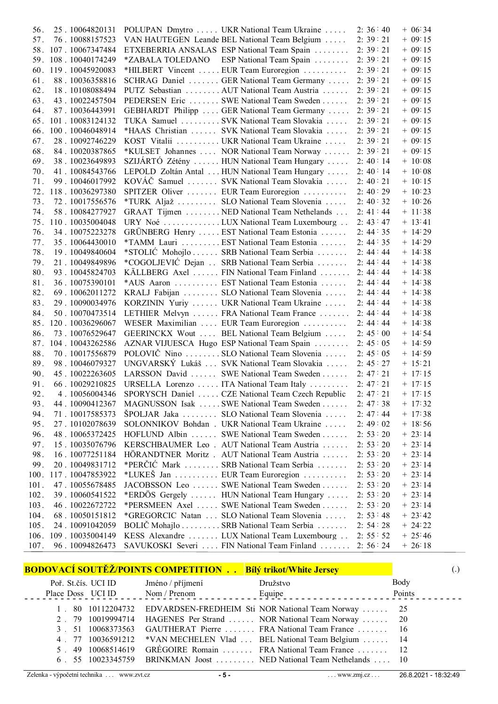| 56.  | 25.10064820131       | POLUPAN Dmytro  UKR National Team Ukraine  2: 36:40  |           | $+ 06:34$ |
|------|----------------------|------------------------------------------------------|-----------|-----------|
| 57.  | 76.10088157523       | VAN HAUTEGEN Leande BEL National Team Belgium        | 2:39:21   | $+ 09.15$ |
|      | 58. 107. 10067347484 | ETXEBERRIA ANSALAS ESP National Team Spain           | 2:39:21   | $+09:15$  |
|      | 59. 108. 10040174249 | *ZABALA TOLEDANO ESP National Team Spain             | 2:39:21   | $+09:15$  |
|      | 60. 119. 10045920083 | *HILBERT Vincent  EUR Team Euroregion                | 2:39:21   | $+09:15$  |
| 61.  | 88.10036358816       | SCHRAG Daniel  GER National Team Germany             | 2:39:21   | $+09:15$  |
| 62.  | 18.10108088494       | PUTZ Sebastian AUT National Team Austria             | 2:39:21   | $+09:15$  |
| 63.  | 43.10022457504       | PEDERSEN Eric  SWE National Team Sweden              | 2:39:21   | $+09:15$  |
| 64.  | 87.10036443991       | GEBHARDT Philipp  GER National Team Germany          | 2:39:21   | $+ 09:15$ |
|      | 65. 101. 10083124132 | TUKA Samuel SVK National Team Slovakia               | 2:39:21   | $+ 09:15$ |
| 66.  | 100.10046048914      | *HAAS Christian  SVK National Team Slovakia          | 2:39:21   | $+ 09:15$ |
| 67.  | 28.10092746229       | KOST Vitalii  UKR National Team Ukraine              | 2:39:21   | $+ 09:15$ |
| 68.  | 84.10020387865       | *KULSET Johannes  NOR National Team Norway  2: 39:21 |           | $+ 09:15$ |
| 69.  | 38.10023649893       | SZIJÁRTÓ Zétény  HUN National Team Hungary           | 2:40:14   | $+ 10:08$ |
| 70.  | 41.10084543766       | LEPOLD Zoltán Antal  HUN National Team Hungary       | 2:40:14   | $+ 10.08$ |
| 71.  | 99.10046017992       | KOVÁČ Samuel  SVK National Team Slovakia             | 2:40:21   | $+ 10:15$ |
| 72.  | 118.10036297380      | SPITZER Oliver  EUR Team Euroregion                  | 2:40:29   | $+ 10.23$ |
| 73.  | 72.10017556576       | *TURK Aljaž  SLO National Team Slovenia              | 2:40:32   | $+ 10.26$ |
| 74.  | 58.10084277927       | GRAAT Tijmen NED National Team Nethelands            | 2: 41: 44 | $+ 11:38$ |
|      | 75. 110. 10035004048 | URY Noé LUX National Team Luxembourg                 | 2: 43: 47 | $+ 13:41$ |
| 76.  | 34.10075223278       | GRÜNBERG Henry  EST National Team Estonia            | 2:44:35   | $+ 14:29$ |
| 77.  | 35.10064430010       | *TAMM Lauri  EST National Team Estonia               | 2: 44: 35 | $+ 14:29$ |
| 78.  | 19.10049840604       | *STOLIĆ Mohojlo  SRB National Team Serbia            | 2: 44: 44 | $+ 14.38$ |
| 79.  | 21.10049849896       | *COGOLJEVIĆ Dejan  SRB National Team Serbia          | 2: 44: 44 | $+ 14.38$ |
| 80.  | 93.10045824703       | KÄLLBERG Axel  FIN National Team Finland  2: 44:44   |           | $+ 14.38$ |
| 81.  | 36.10075390101       | *AUS Aaron  EST National Team Estonia                | 2: 44: 44 | $+ 14.38$ |
| 82.  | 69.10062011272       | KRALJ Fabijan  SLO National Team Slovenia            | 2: 44: 44 | $+ 14:38$ |
| 83.  | 29.10090034976       | KORZININ Yuriy  UKR National Team Ukraine            | 2: 44: 44 | $+ 14:38$ |
| 84.  | 50.10070473514       | LETHIER Melvyn  FRA National Team France             | 2:44:44   | $+ 14:38$ |
| 85.  | 120.10036296067      | WESER Maximilian  EUR Team Euroregion                | 2: 44: 44 | $+ 14:38$ |
| 86.  | 73.10076529647       | GEERINCKX Wout  BEL National Team Belgium            | 2:45:00   | $+ 14.54$ |
| 87.  | 104.10043262586      | AZNAR VIJUESCA Hugo ESP National Team Spain          | 2:45:05   | $+ 14:59$ |
| 88.  | 70.10017556879       | POLOVIČ Nino SLO National Team Slovenia              | 2:45:05   | $+ 14.59$ |
| 89.  | 98.10046079327       | UNGVARSKÝ Lukáš  SVK National Team Slovakia          | 2:45:27   | $+ 15:21$ |
| 90.  | 45.10022263605       | LARSSON David  SWE National Team Sweden              | 2:47:21   | $+ 17:15$ |
| 91.  | 66.10029210825       | URSELLA Lorenzo  ITA National Team Italy             | 2:47:21   | $+ 17:15$ |
| 92.  | 4.10056004346        | SPORYSCH Daniel  CZE National Team Czech Republic    | 2: 47: 21 | $+ 17:15$ |
| 93.  | 44.10090412367       | MAGNUSSON Isak SWE National Team Sweden              | 2:47:38   | $+ 17.32$ |
| 94.  | 71.10017585373       | ŠPOLJAR Jaka  SLO National Team Slovenia             | 2:47:44   | $+ 17:38$ |
| 95.  | 27.10102078639       | SOLONNIKOV Bohdan . UKR National Team Ukraine        | 2:49:02   | $+ 18:56$ |
| 96.  | 48.10065372425       | HOFLUND Albin  SWE National Team Sweden              | 2: 53: 20 | $+ 23:14$ |
| 97.  | 15.10035076796       | KERSCHBAUMER Leo . AUT National Team Austria         | 2: 53: 20 | $+ 23:14$ |
| 98.  | 16.10077251184       | HÖRANDTNER Moritz . AUT National Team Austria        | 2: 53: 20 | $+ 23:14$ |
| 99.  | 20.10049831712       | *PERČIĆ Mark SRB National Team Serbia                | 2: 53: 20 | $+ 23:14$ |
| 100. | 117.10047853922      | *LUKEŠ Jan  EUR Team Euroregion                      | 2: 53: 20 | $+ 23:14$ |
| 101. | 47.10055678485       | JACOBSSON Leo  SWE National Team Sweden              | 2: 53: 20 | $+ 23:14$ |
| 102. | 39.10060541522       | *ERDÖS Gergely  HUN National Team Hungary            | 2: 53: 20 | $+ 23:14$ |
| 103. | 46.10022672722       | *PERSMEEN Axel  SWE National Team Sweden             | 2: 53: 20 | $+ 23:14$ |
| 104. | 68.10050151812       | *GREGORCIC Natan  SLO National Team Slovenia         | 2: 53: 48 | $+23:42$  |
| 105. | 24.10091042059       | BOLIČ Mohajlo SRB National Team Serbia               | 2:54:28   | $+24:22$  |
| 106. | 109.10035004149      | KESS Alexandre  LUX National Team Luxembourg         | 2:55:52   | $+25:46$  |
| 107. | 96.10094826473       | SAVUKOSKI Severi  FIN National Team Finland          | 2:56:24   | $+26:18$  |

| <b>BODOVACÍ SOUTEZ/POINTS COMPETITION Bílý trikot/White Jersey</b> |                                       |                                                                    | (.)    |
|--------------------------------------------------------------------|---------------------------------------|--------------------------------------------------------------------|--------|
| Poř. St.čís. UCI ID                                                | Jméno / příjmení                      | Družstvo                                                           | Body   |
|                                                                    | Place Doss UCI ID Nom / Prenom Equipe | <u> 1999 - Alexandr Alexandr III e a c</u>                         | Points |
|                                                                    |                                       | 80 10112204732 EDVARDSEN-FREDHEIM Sti NOR National Team Norway  25 |        |
| 2 79 10019994714                                                   |                                       | HAGENES Per Strand  NOR National Team Norway  20                   |        |
| 3 51 10068373563                                                   |                                       | GAUTHERAT Pierre  FRA National Team France  16                     |        |
| 4 77 10036591212                                                   |                                       | *VAN MECHELEN Vlad  BEL National Team Belgium  14                  |        |
| 49 10068514619                                                     |                                       | GRÉGOIRE Romain  FRA National Team France  12                      |        |
| 6 55 10023345759                                                   |                                       | BRINKMAN Joost  NED National Team Nethelands  10                   |        |
|                                                                    |                                       |                                                                    |        |